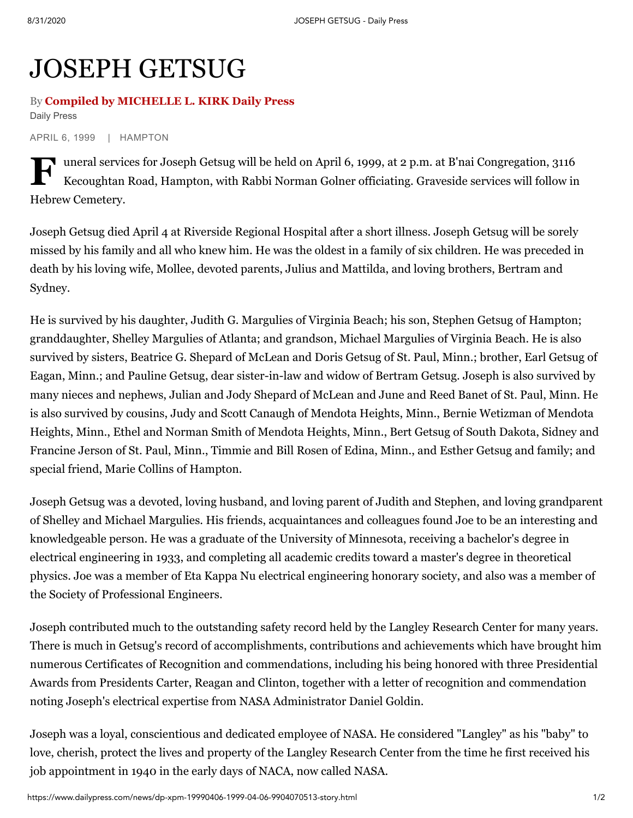## JOSEPH GETSUG

## By **Compiled by MICHELLE L. KIRK Daily Press** Daily Press

APRIL 6, 1999 | HAMPTON

Tuneral services for Joseph Getsug will be held on April 6, 1999, at 2 p.m. at B'nai Congregation, 3116<br>Kecoughtan Road, Hampton, with Rabbi Norman Golner officiating. Graveside services will follow in Kecoughtan Road, Hampton, with Rabbi Norman Golner officiating. Graveside services will follow in Hebrew Cemetery.

Joseph Getsug died April 4 at Riverside Regional Hospital after a short illness. Joseph Getsug will be sorely missed by his family and all who knew him. He was the oldest in a family of six children. He was preceded in death by his loving wife, Mollee, devoted parents, Julius and Mattilda, and loving brothers, Bertram and Sydney.

He is survived by his daughter, Judith G. Margulies of Virginia Beach; his son, Stephen Getsug of Hampton; granddaughter, Shelley Margulies of Atlanta; and grandson, Michael Margulies of Virginia Beach. He is also survived by sisters, Beatrice G. Shepard of McLean and Doris Getsug of St. Paul, Minn.; brother, Earl Getsug of Eagan, Minn.; and Pauline Getsug, dear sister-in-law and widow of Bertram Getsug. Joseph is also survived by many nieces and nephews, Julian and Jody Shepard of McLean and June and Reed Banet of St. Paul, Minn. He is also survived by cousins, Judy and Scott Canaugh of Mendota Heights, Minn., Bernie Wetizman of Mendota Heights, Minn., Ethel and Norman Smith of Mendota Heights, Minn., Bert Getsug of South Dakota, Sidney and Francine Jerson of St. Paul, Minn., Timmie and Bill Rosen of Edina, Minn., and Esther Getsug and family; and special friend, Marie Collins of Hampton.

Joseph Getsug was a devoted, loving husband, and loving parent of Judith and Stephen, and loving grandparent of Shelley and Michael Margulies. His friends, acquaintances and colleagues found Joe to be an interesting and knowledgeable person. He was a graduate of the University of Minnesota, receiving a bachelor's degree in electrical engineering in 1933, and completing all academic credits toward a master's degree in theoretical physics. Joe was a member of Eta Kappa Nu electrical engineering honorary society, and also was a member of the Society of Professional Engineers.

Joseph contributed much to the outstanding safety record held by the Langley Research Center for many years. There is much in Getsug's record of accomplishments, contributions and achievements which have brought him numerous Certificates of Recognition and commendations, including his being honored with three Presidential Awards from Presidents Carter, Reagan and Clinton, together with a letter of recognition and commendation noting Joseph's electrical expertise from NASA Administrator Daniel Goldin.

Joseph was a loyal, conscientious and dedicated employee of NASA. He considered "Langley" as his "baby" to love, cherish, protect the lives and property of the Langley Research Center from the time he first received his job appointment in 1940 in the early days of NACA, now called NASA.